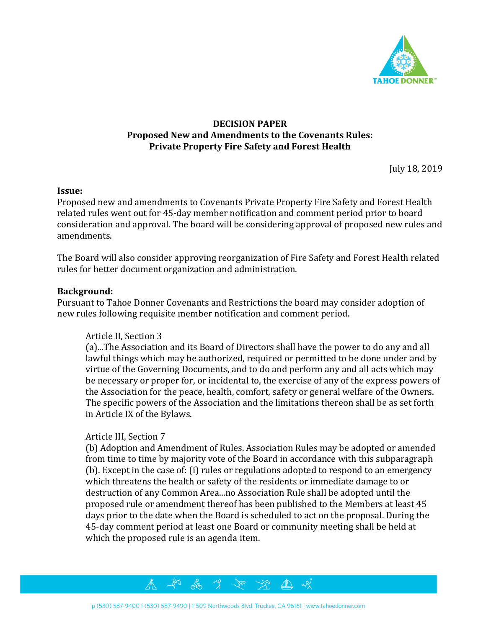

# **DECISION PAPER Proposed New and Amendments to the Covenants Rules: Private Property Fire Safety and Forest Health**

July 18, 2019

### **Issue:**

Proposed new and amendments to Covenants Private Property Fire Safety and Forest Health related rules went out for 45-day member notification and comment period prior to board consideration and approval. The board will be considering approval of proposed new rules and amendments.

The Board will also consider approving reorganization of Fire Safety and Forest Health related rules for better document organization and administration.

### **Background:**

Pursuant to Tahoe Donner Covenants and Restrictions the board may consider adoption of new rules following requisite member notification and comment period.

### Article II, Section 3

(a)...The Association and its Board of Directors shall have the power to do any and all lawful things which may be authorized, required or permitted to be done under and by virtue of the Governing Documents, and to do and perform any and all acts which may be necessary or proper for, or incidental to, the exercise of any of the express powers of the Association for the peace, health, comfort, safety or general welfare of the Owners. The specific powers of the Association and the limitations thereon shall be as set forth in Article IX of the Bylaws.

### Article III, Section 7

(b) Adoption and Amendment of Rules. Association Rules may be adopted or amended from time to time by majority vote of the Board in accordance with this subparagraph (b). Except in the case of: (i) rules or regulations adopted to respond to an emergency which threatens the health or safety of the residents or immediate damage to or destruction of any Common Area...no Association Rule shall be adopted until the proposed rule or amendment thereof has been published to the Members at least 45 days prior to the date when the Board is scheduled to act on the proposal. During the 45-day comment period at least one Board or community meeting shall be held at which the proposed rule is an agenda item.

 $\Delta$ 



 $\Im$ 

For 3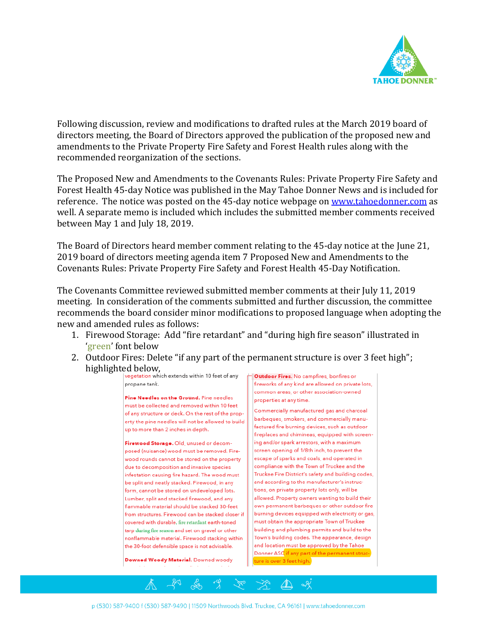

Following discussion, review and modifications to drafted rules at the March 2019 board of directors meeting, the Board of Directors approved the publication of the proposed new and amendments to the Private Property Fire Safety and Forest Health rules along with the recommended reorganization of the sections.

The Proposed New and Amendments to the Covenants Rules: Private Property Fire Safety and Forest Health 45-day Notice was published in the May Tahoe Donner News and is included for reference. The notice was posted on the 45-day notice webpage o[n www.tahoedonner.com](http://www.tahoedonner.com/) as well. A separate memo is included which includes the submitted member comments received between May 1 and July 18, 2019.

The Board of Directors heard member comment relating to the 45-day notice at the June 21, 2019 board of directors meeting agenda item 7 Proposed New and Amendments to the Covenants Rules: Private Property Fire Safety and Forest Health 45-Day Notification.

The Covenants Committee reviewed submitted member comments at their July 11, 2019 meeting. In consideration of the comments submitted and further discussion, the committee recommends the board consider minor modifications to proposed language when adopting the new and amended rules as follows:

- 1. Firewood Storage: Add "fire retardant" and "during high fire season" illustrated in 'green' font below
- 2. Outdoor Fires: Delete "if any part of the permanent structure is over 3 feet high"; highlighted below,<br>vegetation which extends within 10 feet of any



 $\mathbb{R}^d$